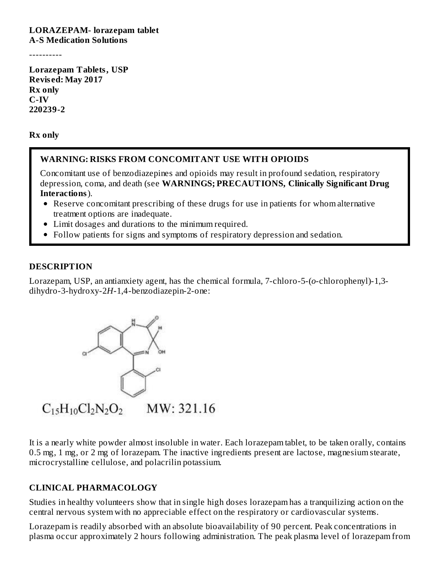#### **LORAZEPAM- lorazepam tablet A-S Medication Solutions**

----------

**Lorazepam Tablets, USP Revis ed: May 2017 Rx only C-IV 220239-2**

**Rx only**

### **WARNING: RISKS FROM CONCOMITANT USE WITH OPIOIDS**

Concomitant use of benzodiazepines and opioids may result in profound sedation, respiratory depression, coma, and death (see **WARNINGS; PRECAUTIONS, Clinically Significant Drug Interactions**).

- Reserve concomitant prescribing of these drugs for use in patients for whom alternative treatment options are inadequate.
- Limit dosages and durations to the minimum required.
- Follow patients for signs and symptoms of respiratory depression and sedation.

#### **DESCRIPTION**

Lorazepam, USP, an antianxiety agent, has the chemical formula, 7-chloro-5-(*o*-chlorophenyl)-1,3 dihydro-3-hydroxy-2*H*-1,4-benzodiazepin-2-one:



It is a nearly white powder almost insoluble in water. Each lorazepam tablet, to be taken orally, contains 0.5 mg, 1 mg, or 2 mg of lorazepam. The inactive ingredients present are lactose, magnesium stearate, microcrystalline cellulose, and polacrilin potassium.

### **CLINICAL PHARMACOLOGY**

Studies in healthy volunteers show that in single high doses lorazepam has a tranquilizing action on the central nervous system with no appreciable effect on the respiratory or cardiovascular systems.

Lorazepam is readily absorbed with an absolute bioavailability of 90 percent. Peak concentrations in plasma occur approximately 2 hours following administration. The peak plasma level of lorazepam from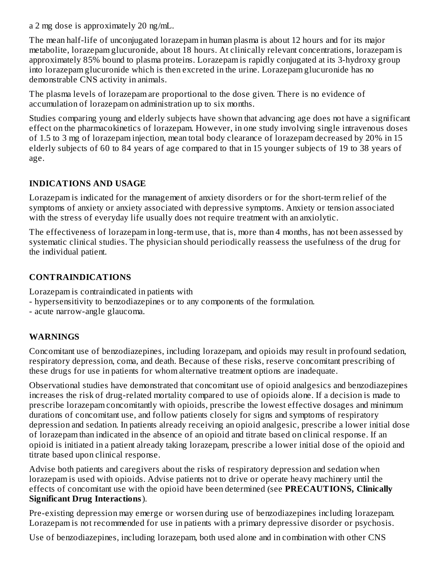a 2 mg dose is approximately 20 ng/mL.

The mean half-life of unconjugated lorazepam in human plasma is about 12 hours and for its major metabolite, lorazepam glucuronide, about 18 hours. At clinically relevant concentrations, lorazepam is approximately 85% bound to plasma proteins. Lorazepam is rapidly conjugated at its 3-hydroxy group into lorazepam glucuronide which is then excreted in the urine. Lorazepam glucuronide has no demonstrable CNS activity in animals.

The plasma levels of lorazepam are proportional to the dose given. There is no evidence of accumulation of lorazepam on administration up to six months.

Studies comparing young and elderly subjects have shown that advancing age does not have a significant effect on the pharmacokinetics of lorazepam. However, in one study involving single intravenous doses of 1.5 to 3 mg of lorazepam injection, mean total body clearance of lorazepam decreased by 20% in 15 elderly subjects of 60 to 84 years of age compared to that in 15 younger subjects of 19 to 38 years of age.

## **INDICATIONS AND USAGE**

Lorazepam is indicated for the management of anxiety disorders or for the short-term relief of the symptoms of anxiety or anxiety associated with depressive symptoms. Anxiety or tension associated with the stress of everyday life usually does not require treatment with an anxiolytic.

The effectiveness of lorazepam in long-term use, that is, more than 4 months, has not been assessed by systematic clinical studies. The physician should periodically reassess the usefulness of the drug for the individual patient.

### **CONTRAINDICATIONS**

Lorazepam is contraindicated in patients with

- hypersensitivity to benzodiazepines or to any components of the formulation.
- acute narrow-angle glaucoma.

### **WARNINGS**

Concomitant use of benzodiazepines, including lorazepam, and opioids may result in profound sedation, respiratory depression, coma, and death. Because of these risks, reserve concomitant prescribing of these drugs for use in patients for whom alternative treatment options are inadequate.

Observational studies have demonstrated that concomitant use of opioid analgesics and benzodiazepines increases the risk of drug-related mortality compared to use of opioids alone. If a decision is made to prescribe lorazepam concomitantly with opioids, prescribe the lowest effective dosages and minimum durations of concomitant use, and follow patients closely for signs and symptoms of respiratory depression and sedation. In patients already receiving an opioid analgesic, prescribe a lower initial dose of lorazepam than indicated in the absence of an opioid and titrate based on clinical response. If an opioid is initiated in a patient already taking lorazepam, prescribe a lower initial dose of the opioid and titrate based upon clinical response.

Advise both patients and caregivers about the risks of respiratory depression and sedation when lorazepam is used with opioids. Advise patients not to drive or operate heavy machinery until the effects of concomitant use with the opioid have been determined (see **PRECAUTIONS, Clinically Significant Drug Interactions**).

Pre-existing depression may emerge or worsen during use of benzodiazepines including lorazepam. Lorazepam is not recommended for use in patients with a primary depressive disorder or psychosis.

Use of benzodiazepines, including lorazepam, both used alone and in combination with other CNS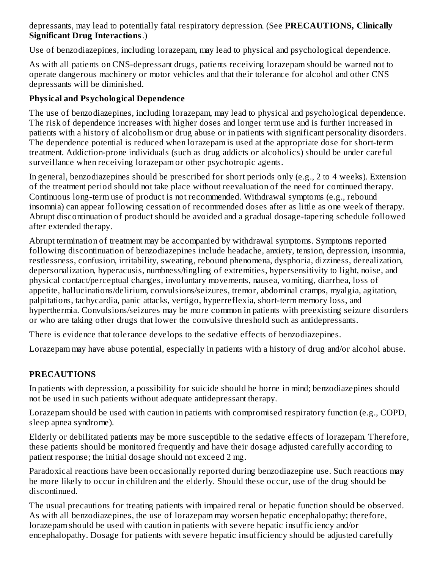depressants, may lead to potentially fatal respiratory depression. (See **PRECAUTIONS, Clinically Significant Drug Interactions**.)

Use of benzodiazepines, including lorazepam, may lead to physical and psychological dependence.

As with all patients on CNS-depressant drugs, patients receiving lorazepam should be warned not to operate dangerous machinery or motor vehicles and that their tolerance for alcohol and other CNS depressants will be diminished.

## **Physical and Psychological Dependence**

The use of benzodiazepines, including lorazepam, may lead to physical and psychological dependence. The risk of dependence increases with higher doses and longer term use and is further increased in patients with a history of alcoholism or drug abuse or in patients with significant personality disorders. The dependence potential is reduced when lorazepam is used at the appropriate dose for short-term treatment. Addiction-prone individuals (such as drug addicts or alcoholics) should be under careful surveillance when receiving lorazepam or other psychotropic agents.

In general, benzodiazepines should be prescribed for short periods only (e.g., 2 to 4 weeks). Extension of the treatment period should not take place without reevaluation of the need for continued therapy. Continuous long-term use of product is not recommended. Withdrawal symptoms (e.g., rebound insomnia) can appear following cessation of recommended doses after as little as one week of therapy. Abrupt discontinuation of product should be avoided and a gradual dosage-tapering schedule followed after extended therapy.

Abrupt termination of treatment may be accompanied by withdrawal symptoms. Symptoms reported following discontinuation of benzodiazepines include headache, anxiety, tension, depression, insomnia, restlessness, confusion, irritability, sweating, rebound phenomena, dysphoria, dizziness, derealization, depersonalization, hyperacusis, numbness/tingling of extremities, hypersensitivity to light, noise, and physical contact/perceptual changes, involuntary movements, nausea, vomiting, diarrhea, loss of appetite, hallucinations/delirium, convulsions/seizures, tremor, abdominal cramps, myalgia, agitation, palpitations, tachycardia, panic attacks, vertigo, hyperreflexia, short-term memory loss, and hyperthermia. Convulsions/seizures may be more common in patients with preexisting seizure disorders or who are taking other drugs that lower the convulsive threshold such as antidepressants.

There is evidence that tolerance develops to the sedative effects of benzodiazepines.

Lorazepam may have abuse potential, especially in patients with a history of drug and/or alcohol abuse.

## **PRECAUTIONS**

In patients with depression, a possibility for suicide should be borne in mind; benzodiazepines should not be used in such patients without adequate antidepressant therapy.

Lorazepam should be used with caution in patients with compromised respiratory function (e.g., COPD, sleep apnea syndrome).

Elderly or debilitated patients may be more susceptible to the sedative effects of lorazepam. Therefore, these patients should be monitored frequently and have their dosage adjusted carefully according to patient response; the initial dosage should not exceed 2 mg.

Paradoxical reactions have been occasionally reported during benzodiazepine use. Such reactions may be more likely to occur in children and the elderly. Should these occur, use of the drug should be discontinued.

The usual precautions for treating patients with impaired renal or hepatic function should be observed. As with all benzodiazepines, the use of lorazepam may worsen hepatic encephalopathy; therefore, lorazepam should be used with caution in patients with severe hepatic insufficiency and/or encephalopathy. Dosage for patients with severe hepatic insufficiency should be adjusted carefully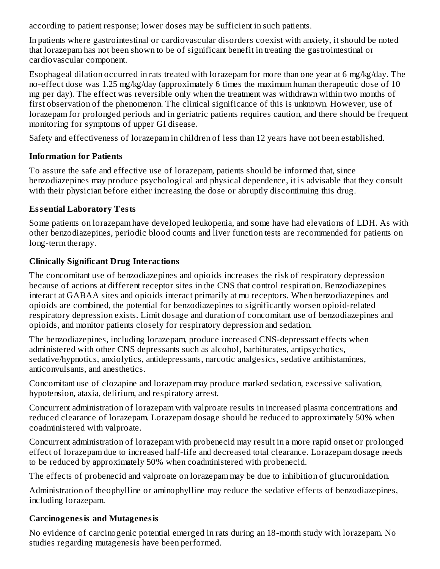according to patient response; lower doses may be sufficient in such patients.

In patients where gastrointestinal or cardiovascular disorders coexist with anxiety, it should be noted that lorazepam has not been shown to be of significant benefit in treating the gastrointestinal or cardiovascular component.

Esophageal dilation occurred in rats treated with lorazepam for more than one year at 6 mg/kg/day. The no-effect dose was 1.25 mg/kg/day (approximately 6 times the maximum human therapeutic dose of 10 mg per day). The effect was reversible only when the treatment was withdrawn within two months of first observation of the phenomenon. The clinical significance of this is unknown. However, use of lorazepam for prolonged periods and in geriatric patients requires caution, and there should be frequent monitoring for symptoms of upper GI disease.

Safety and effectiveness of lorazepam in children of less than 12 years have not been established.

# **Information for Patients**

To assure the safe and effective use of lorazepam, patients should be informed that, since benzodiazepines may produce psychological and physical dependence, it is advisable that they consult with their physician before either increasing the dose or abruptly discontinuing this drug.

# **Ess ential Laboratory Tests**

Some patients on lorazepam have developed leukopenia, and some have had elevations of LDH. As with other benzodiazepines, periodic blood counts and liver function tests are recommended for patients on long-term therapy.

# **Clinically Significant Drug Interactions**

The concomitant use of benzodiazepines and opioids increases the risk of respiratory depression because of actions at different receptor sites in the CNS that control respiration. Benzodiazepines interact at GABAA sites and opioids interact primarily at mu receptors. When benzodiazepines and opioids are combined, the potential for benzodiazepines to significantly worsen opioid-related respiratory depression exists. Limit dosage and duration of concomitant use of benzodiazepines and opioids, and monitor patients closely for respiratory depression and sedation.

The benzodiazepines, including lorazepam, produce increased CNS-depressant effects when administered with other CNS depressants such as alcohol, barbiturates, antipsychotics, sedative/hypnotics, anxiolytics, antidepressants, narcotic analgesics, sedative antihistamines, anticonvulsants, and anesthetics.

Concomitant use of clozapine and lorazepam may produce marked sedation, excessive salivation, hypotension, ataxia, delirium, and respiratory arrest.

Concurrent administration of lorazepam with valproate results in increased plasma concentrations and reduced clearance of lorazepam. Lorazepam dosage should be reduced to approximately 50% when coadministered with valproate.

Concurrent administration of lorazepam with probenecid may result in a more rapid onset or prolonged effect of lorazepam due to increased half-life and decreased total clearance. Lorazepam dosage needs to be reduced by approximately 50% when coadministered with probenecid.

The effects of probenecid and valproate on lorazepam may be due to inhibition of glucuronidation.

Administration of theophylline or aminophylline may reduce the sedative effects of benzodiazepines, including lorazepam.

# **Carcinogenesis and Mutagenesis**

No evidence of carcinogenic potential emerged in rats during an 18-month study with lorazepam. No studies regarding mutagenesis have been performed.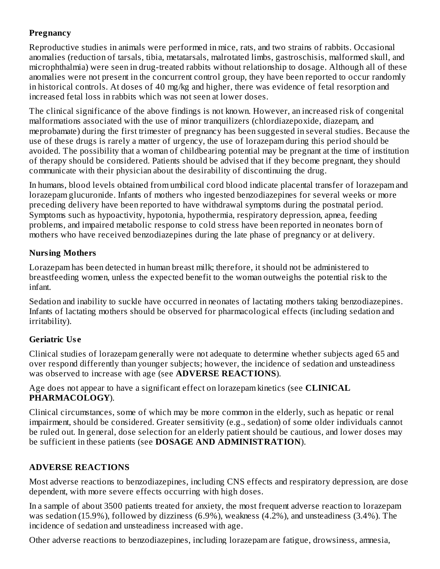## **Pregnancy**

Reproductive studies in animals were performed in mice, rats, and two strains of rabbits. Occasional anomalies (reduction of tarsals, tibia, metatarsals, malrotated limbs, gastroschisis, malformed skull, and microphthalmia) were seen in drug-treated rabbits without relationship to dosage. Although all of these anomalies were not present in the concurrent control group, they have been reported to occur randomly in historical controls. At doses of 40 mg/kg and higher, there was evidence of fetal resorption and increased fetal loss in rabbits which was not seen at lower doses.

The clinical significance of the above findings is not known. However, an increased risk of congenital malformations associated with the use of minor tranquilizers (chlordiazepoxide, diazepam, and meprobamate) during the first trimester of pregnancy has been suggested in several studies. Because the use of these drugs is rarely a matter of urgency, the use of lorazepam during this period should be avoided. The possibility that a woman of childbearing potential may be pregnant at the time of institution of therapy should be considered. Patients should be advised that if they become pregnant, they should communicate with their physician about the desirability of discontinuing the drug.

In humans, blood levels obtained from umbilical cord blood indicate placental transfer of lorazepam and lorazepam glucuronide. Infants of mothers who ingested benzodiazepines for several weeks or more preceding delivery have been reported to have withdrawal symptoms during the postnatal period. Symptoms such as hypoactivity, hypotonia, hypothermia, respiratory depression, apnea, feeding problems, and impaired metabolic response to cold stress have been reported in neonates born of mothers who have received benzodiazepines during the late phase of pregnancy or at delivery.

## **Nursing Mothers**

Lorazepam has been detected in human breast milk; therefore, it should not be administered to breastfeeding women, unless the expected benefit to the woman outweighs the potential risk to the infant.

Sedation and inability to suckle have occurred in neonates of lactating mothers taking benzodiazepines. Infants of lactating mothers should be observed for pharmacological effects (including sedation and irritability).

# **Geriatric Us e**

Clinical studies of lorazepam generally were not adequate to determine whether subjects aged 65 and over respond differently than younger subjects; however, the incidence of sedation and unsteadiness was observed to increase with age (see **ADVERSE REACTIONS**).

Age does not appear to have a significant effect on lorazepam kinetics (see **CLINICAL PHARMACOLOGY**).

Clinical circumstances, some of which may be more common in the elderly, such as hepatic or renal impairment, should be considered. Greater sensitivity (e.g., sedation) of some older individuals cannot be ruled out. In general, dose selection for an elderly patient should be cautious, and lower doses may be sufficient in these patients (see **DOSAGE AND ADMINISTRATION**).

# **ADVERSE REACTIONS**

Most adverse reactions to benzodiazepines, including CNS effects and respiratory depression, are dose dependent, with more severe effects occurring with high doses.

In a sample of about 3500 patients treated for anxiety, the most frequent adverse reaction to lorazepam was sedation (15.9%), followed by dizziness (6.9%), weakness (4.2%), and unsteadiness (3.4%). The incidence of sedation and unsteadiness increased with age.

Other adverse reactions to benzodiazepines, including lorazepam are fatigue, drowsiness, amnesia,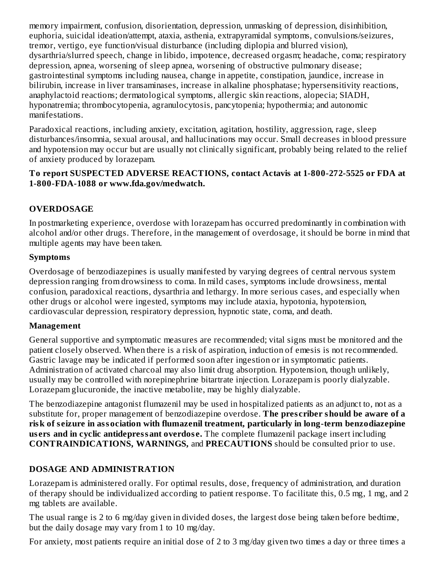memory impairment, confusion, disorientation, depression, unmasking of depression, disinhibition, euphoria, suicidal ideation/attempt, ataxia, asthenia, extrapyramidal symptoms, convulsions/seizures, tremor, vertigo, eye function/visual disturbance (including diplopia and blurred vision), dysarthria/slurred speech, change in libido, impotence, decreased orgasm; headache, coma; respiratory depression, apnea, worsening of sleep apnea, worsening of obstructive pulmonary disease; gastrointestinal symptoms including nausea, change in appetite, constipation, jaundice, increase in bilirubin, increase in liver transaminases, increase in alkaline phosphatase; hypersensitivity reactions, anaphylactoid reactions; dermatological symptoms, allergic skin reactions, alopecia; SIADH, hyponatremia; thrombocytopenia, agranulocytosis, pancytopenia; hypothermia; and autonomic manifestations.

Paradoxical reactions, including anxiety, excitation, agitation, hostility, aggression, rage, sleep disturbances/insomnia, sexual arousal, and hallucinations may occur. Small decreases in blood pressure and hypotension may occur but are usually not clinically significant, probably being related to the relief of anxiety produced by lorazepam.

### **To report SUSPECTED ADVERSE REACTIONS, contact Actavis at 1-800-272-5525 or FDA at 1-800-FDA-1088 or www.fda.gov/medwatch.**

## **OVERDOSAGE**

In postmarketing experience, overdose with lorazepam has occurred predominantly in combination with alcohol and/or other drugs. Therefore, in the management of overdosage, it should be borne in mind that multiple agents may have been taken.

### **Symptoms**

Overdosage of benzodiazepines is usually manifested by varying degrees of central nervous system depression ranging from drowsiness to coma. In mild cases, symptoms include drowsiness, mental confusion, paradoxical reactions, dysarthria and lethargy. In more serious cases, and especially when other drugs or alcohol were ingested, symptoms may include ataxia, hypotonia, hypotension, cardiovascular depression, respiratory depression, hypnotic state, coma, and death.

#### **Management**

General supportive and symptomatic measures are recommended; vital signs must be monitored and the patient closely observed. When there is a risk of aspiration, induction of emesis is not recommended. Gastric lavage may be indicated if performed soon after ingestion or in symptomatic patients. Administration of activated charcoal may also limit drug absorption. Hypotension, though unlikely, usually may be controlled with norepinephrine bitartrate injection. Lorazepam is poorly dialyzable. Lorazepam glucuronide, the inactive metabolite, may be highly dialyzable.

The benzodiazepine antagonist flumazenil may be used in hospitalized patients as an adjunct to, not as a substitute for, proper management of benzodiazepine overdose. **The pres criber should be aware of a risk of s eizure in association with flumazenil treatment, particularly in long-term benzodiazepine us ers and in cyclic antidepressant overdos e.** The complete flumazenil package insert including **CONTRAINDICATIONS, WARNINGS,** and **PRECAUTIONS** should be consulted prior to use.

### **DOSAGE AND ADMINISTRATION**

Lorazepam is administered orally. For optimal results, dose, frequency of administration, and duration of therapy should be individualized according to patient response. To facilitate this, 0.5 mg, 1 mg, and 2 mg tablets are available.

The usual range is 2 to 6 mg/day given in divided doses, the largest dose being taken before bedtime, but the daily dosage may vary from 1 to 10 mg/day.

For anxiety, most patients require an initial dose of 2 to 3 mg/day given two times a day or three times a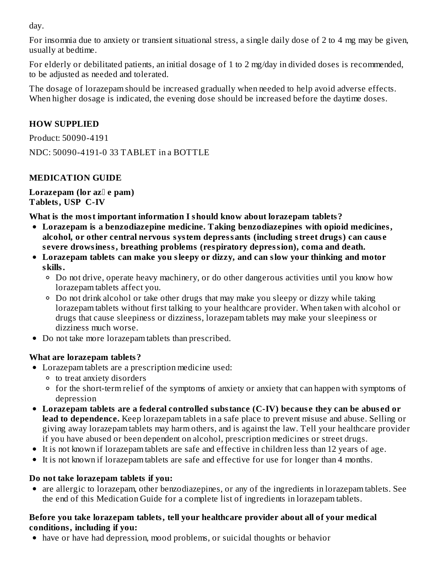day.

For insomnia due to anxiety or transient situational stress, a single daily dose of 2 to 4 mg may be given, usually at bedtime.

For elderly or debilitated patients, an initial dosage of 1 to 2 mg/day in divided doses is recommended, to be adjusted as needed and tolerated.

The dosage of lorazepam should be increased gradually when needed to help avoid adverse effects. When higher dosage is indicated, the evening dose should be increased before the daytime doses.

## **HOW SUPPLIED**

Product: 50090-4191

NDC: 50090-4191-0 33 TABLET in a BOTTLE

## **MEDICATION GUIDE**

**Lorazepam (lor az e pam) Tablets, USP C-IV**

**What is the most important information I should know about lorazepam tablets?**

- **Lorazepam is a benzodiazepine medicine. Taking benzodiazepines with opioid medicines, alcohol, or other central nervous system depressants (including street drugs) can caus e s evere drowsiness, breathing problems (respiratory depression), coma and death.**
- **Lorazepam tablets can make you sleepy or dizzy, and can slow your thinking and motor skills.**
	- Do not drive, operate heavy machinery, or do other dangerous activities until you know how lorazepam tablets affect you.
	- Do not drink alcohol or take other drugs that may make you sleepy or dizzy while taking lorazepam tablets without first talking to your healthcare provider. When taken with alcohol or drugs that cause sleepiness or dizziness, lorazepam tablets may make your sleepiness or dizziness much worse.
- Do not take more lorazepam tablets than prescribed.

## **What are lorazepam tablets?**

- Lorazepam tablets are a prescription medicine used:
	- to treat anxiety disorders
	- for the short-term relief of the symptoms of anxiety or anxiety that can happen with symptoms of depression
- **Lorazepam tablets are a federal controlled substance (C-IV) becaus e they can be abus ed or lead to dependence.** Keep lorazepam tablets in a safe place to prevent misuse and abuse. Selling or giving away lorazepam tablets may harm others, and is against the law. Tell your healthcare provider if you have abused or been dependent on alcohol, prescription medicines or street drugs.
- It is not known if lorazepam tablets are safe and effective in children less than 12 years of age.
- It is not known if lorazepam tablets are safe and effective for use for longer than 4 months.

## **Do not take lorazepam tablets if you:**

are allergic to lorazepam, other benzodiazepines, or any of the ingredients in lorazepam tablets. See the end of this Medication Guide for a complete list of ingredients in lorazepam tablets.

### **Before you take lorazepam tablets, tell your healthcare provider about all of your medical conditions, including if you:**

have or have had depression, mood problems, or suicidal thoughts or behavior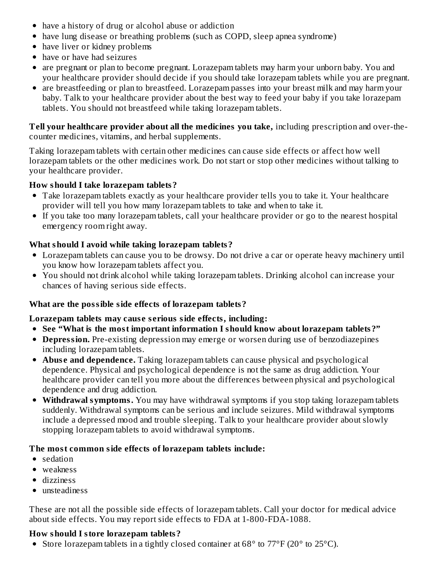- have a history of drug or alcohol abuse or addiction
- have lung disease or breathing problems (such as COPD, sleep apnea syndrome)
- have liver or kidney problems
- have or have had seizures
- are pregnant or plan to become pregnant. Lorazepam tablets may harm your unborn baby. You and your healthcare provider should decide if you should take lorazepam tablets while you are pregnant.
- are breastfeeding or plan to breastfeed. Lorazepam passes into your breast milk and may harm your baby. Talk to your healthcare provider about the best way to feed your baby if you take lorazepam tablets. You should not breastfeed while taking lorazepam tablets.

**Tell your healthcare provider about all the medicines you take,** including prescription and over-thecounter medicines, vitamins, and herbal supplements.

Taking lorazepam tablets with certain other medicines can cause side effects or affect how well lorazepam tablets or the other medicines work. Do not start or stop other medicines without talking to your healthcare provider.

## **How should I take lorazepam tablets?**

- Take lorazepam tablets exactly as your healthcare provider tells you to take it. Your healthcare provider will tell you how many lorazepam tablets to take and when to take it.
- If you take too many lorazepam tablets, call your healthcare provider or go to the nearest hospital emergency room right away.

# **What should I avoid while taking lorazepam tablets?**

- Lorazepam tablets can cause you to be drowsy. Do not drive a car or operate heavy machinery until you know how lorazepam tablets affect you.
- You should not drink alcohol while taking lorazepam tablets. Drinking alcohol can increase your chances of having serious side effects.

## **What are the possible side effects of lorazepam tablets?**

## **Lorazepam tablets may caus e s erious side effects, including:**

## **See "What is the most important information I should know about lorazepam tablets?"**

- **Depression.** Pre-existing depression may emerge or worsen during use of benzodiazepines including lorazepam tablets.
- **Abuse and dependence.** Taking lorazepam tablets can cause physical and psychological dependence. Physical and psychological dependence is not the same as drug addiction. Your healthcare provider can tell you more about the differences between physical and psychological dependence and drug addiction.
- **Withdrawal symptoms.** You may have withdrawal symptoms if you stop taking lorazepam tablets suddenly. Withdrawal symptoms can be serious and include seizures. Mild withdrawal symptoms include a depressed mood and trouble sleeping. Talk to your healthcare provider about slowly stopping lorazepam tablets to avoid withdrawal symptoms.

## **The most common side effects of lorazepam tablets include:**

- sedation
- weakness
- dizziness
- unsteadiness

These are not all the possible side effects of lorazepam tablets. Call your doctor for medical advice about side effects. You may report side effects to FDA at 1-800-FDA-1088.

## **How should I store lorazepam tablets?**

Store lorazepam tablets in a tightly closed container at 68° to 77°F (20° to 25°C).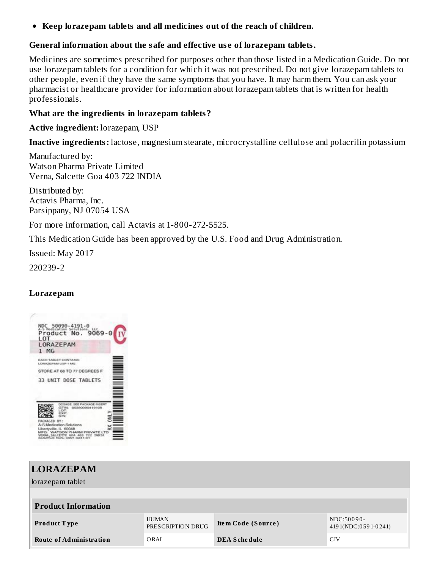**Keep lorazepam tablets and all medicines out of the reach of children.**

### **General information about the safe and effective us e of lorazepam tablets.**

Medicines are sometimes prescribed for purposes other than those listed in a Medication Guide. Do not use lorazepam tablets for a condition for which it was not prescribed. Do not give lorazepam tablets to other people, even if they have the same symptoms that you have. It may harm them. You can ask your pharmacist or healthcare provider for information about lorazepam tablets that is written for health professionals.

#### **What are the ingredients in lorazepam tablets?**

**Active ingredient:** lorazepam, USP

**Inactive ingredients:** lactose, magnesium stearate, microcrystalline cellulose and polacrilin potassium

Manufactured by: Watson Pharma Private Limited Verna, Salcette Goa 403 722 INDIA

Distributed by: Actavis Pharma, Inc. Parsippany, NJ 07054 USA

For more information, call Actavis at 1-800-272-5525.

This Medication Guide has been approved by the U.S. Food and Drug Administration.

Issued: May 2017

220239-2

### **Lorazepam**



| <b>LORAZEPAM</b><br>lorazepam tablet |                                   |                     |                                   |  |  |  |
|--------------------------------------|-----------------------------------|---------------------|-----------------------------------|--|--|--|
| <b>Product Information</b>           |                                   |                     |                                   |  |  |  |
| <b>Product Type</b>                  | <b>HUMAN</b><br>PRESCRIPTION DRUG | Item Code (Source)  | NDC:50090-<br>4191(NDC:0591-0241) |  |  |  |
| <b>Route of Administration</b>       | ORAL                              | <b>DEA Schedule</b> | C <sub>IV</sub>                   |  |  |  |